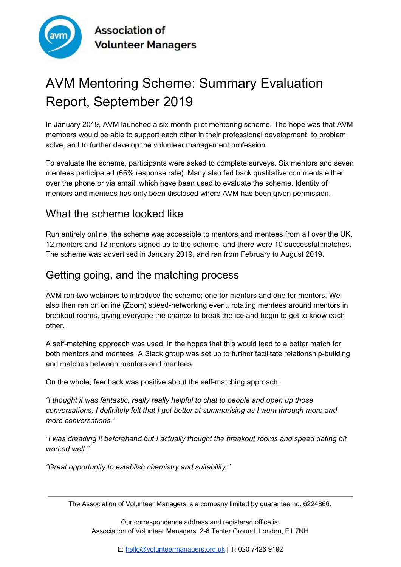

**Association of Volunteer Managers** 

# AVM Mentoring Scheme: Summary Evaluation Report, September 2019

In January 2019, AVM launched a six-month pilot mentoring scheme. The hope was that AVM members would be able to support each other in their professional development, to problem solve, and to further develop the volunteer management profession.

To evaluate the scheme, participants were asked to complete surveys. Six mentors and seven mentees participated (65% response rate). Many also fed back qualitative comments either over the phone or via email, which have been used to evaluate the scheme. Identity of mentors and mentees has only been disclosed where AVM has been given permission.

## What the scheme looked like

Run entirely online, the scheme was accessible to mentors and mentees from all over the UK. 12 mentors and 12 mentors signed up to the scheme, and there were 10 successful matches. The scheme was advertised in January 2019, and ran from February to August 2019.

# Getting going, and the matching process

AVM ran two webinars to introduce the scheme; one for mentors and one for mentors. We also then ran on online (Zoom) speed-networking event, rotating mentees around mentors in breakout rooms, giving everyone the chance to break the ice and begin to get to know each other.

A self-matching approach was used, in the hopes that this would lead to a better match for both mentors and mentees. A Slack group was set up to further facilitate relationship-building and matches between mentors and mentees.

On the whole, feedback was positive about the self-matching approach:

*"I thought it was fantastic, really really helpful to chat to people and open up those conversations. I definitely felt that I got better at summarising as I went through more and more conversations."*

*"I was dreading it beforehand but I actually thought the breakout rooms and speed dating bit worked well."*

*"Great opportunity to establish chemistry and suitability."*

The Association of Volunteer Managers is a company limited by guarantee no. 6224866.

Our correspondence address and registered office is: Association of Volunteer Managers, 2-6 Tenter Ground, London, E1 7NH

E: [hello@volunteermanagers.org.uk](mailto:hello@volunteermanagers.org.uk) | T: 020 7426 9192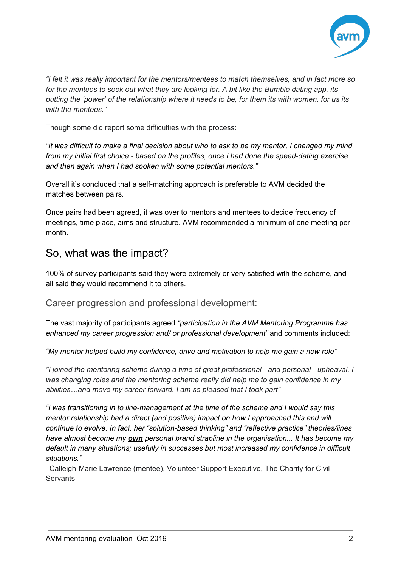

*"I felt it was really important for the mentors/mentees to match themselves, and in fact more so* for the mentees to seek out what they are looking for. A bit like the Bumble dating app, its putting the 'power' of the relationship where it needs to be, for them its with women, for us its *with the mentees."*

Though some did report some difficulties with the process:

"It was difficult to make a final decision about who to ask to be my mentor, I changed my mind *from my initial first choice - based on the profiles, once I had done the speed-dating exercise and then again when I had spoken with some potential mentors."*

Overall it's concluded that a self-matching approach is preferable to AVM decided the matches between pairs.

Once pairs had been agreed, it was over to mentors and mentees to decide frequency of meetings, time place, aims and structure. AVM recommended a minimum of one meeting per month.

## So, what was the impact?

100% of survey participants said they were extremely or very satisfied with the scheme, and all said they would recommend it to others.

Career progression and professional development:

The vast majority of participants agreed *"participation in the AVM Mentoring Programme has enhanced my career progression and/ or professional development"* and comments included:

*"My mentor helped build my confidence, drive and motivation to help me gain a new role"*

*"I joined the mentoring scheme during a time of great professional - and personal - upheaval. I was changing roles and the mentoring scheme really did help me to gain confidence in my abilities…and move my career forward. I am so pleased that I took part"*

*"I was transitioning in to line-management at the time of the scheme and I would say this mentor relationship had a direct (and positive) impact on how I approached this and will continue to evolve. In fact, her "solution-based thinking" and "reflective practice" theories/lines have almost become my own personal brand strapline in the organisation... It has become my default in many situations; usefully in successes but most increased my confidence in difficult situations."*

- Calleigh-Marie Lawrence (mentee), Volunteer Support Executive, The Charity for Civil **Servants**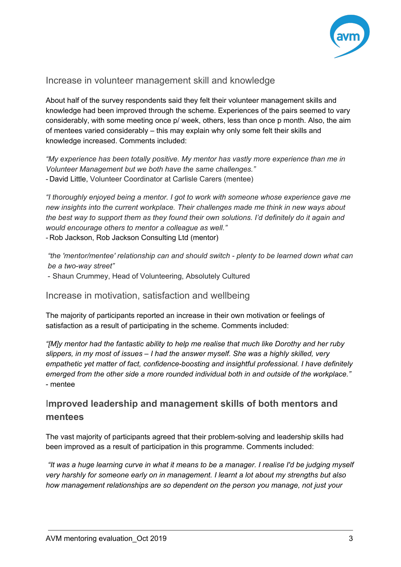

#### Increase in volunteer management skill and knowledge

About half of the survey respondents said they felt their volunteer management skills and knowledge had been improved through the scheme. Experiences of the pairs seemed to vary considerably, with some meeting once p/ week, others, less than once p month. Also, the aim of mentees varied considerably – this may explain why only some felt their skills and knowledge increased. Comments included:

*"My experience has been totally positive. My mentor has vastly more experience than me in Volunteer Management but we both have the same challenges."* - David Little, Volunteer Coordinator at Carlisle Carers (mentee)

*"I thoroughly enjoyed being a mentor. I got to work with someone whose experience gave me new insights into the current workplace. Their challenges made me think in new ways about the best way to support them as they found their own solutions. I'd definitely do it again and would encourage others to mentor a colleague as well."* - Rob Jackson, Rob Jackson Consulting Ltd (mentor)

*"the 'mentor/mentee' relationship can and should switch - plenty to be learned down what can be a two-way street"*

- Shaun Crummey, Head of Volunteering, Absolutely Cultured

Increase in motivation, satisfaction and wellbeing

The majority of participants reported an increase in their own motivation or feelings of satisfaction as a result of participating in the scheme. Comments included:

*"[M]y mentor had the fantastic ability to help me realise that much like Dorothy and her ruby slippers, in my most of issues – I had the answer myself. She was a highly skilled, very empathetic yet matter of fact, confidence-boosting and insightful professional. I have definitely emerged from the other side a more rounded individual both in and outside of the workplace."* - mentee

### I**mproved leadership and management skills of both mentors and mentees**

The vast majority of participants agreed that their problem-solving and leadership skills had been improved as a result of participation in this programme. Comments included:

"It was a huge learning curve in what it means to be a manager. I realise I'd be judging myself *very harshly for someone early on in management. I learnt a lot about my strengths but also how management relationships are so dependent on the person you manage, not just your*